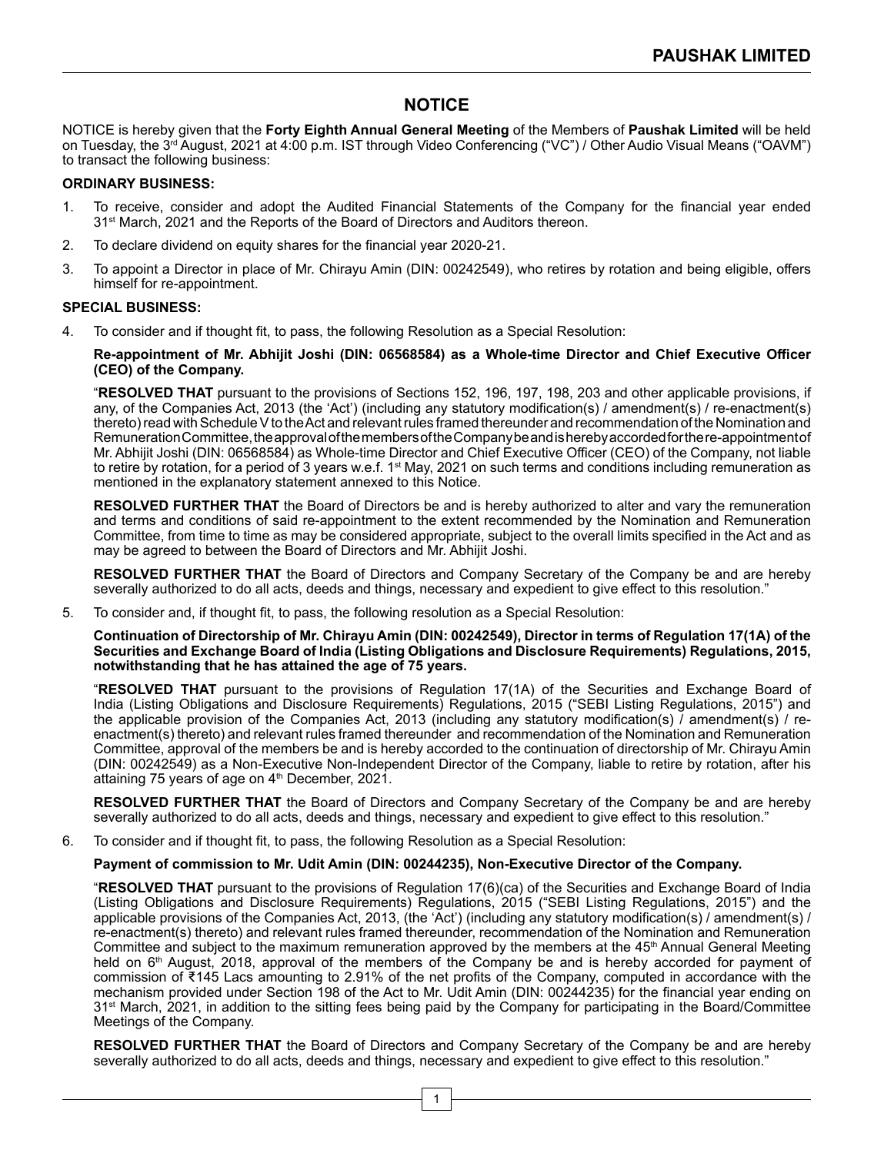# **NOTICE**

NOTICE is hereby given that the **Forty Eighth Annual General Meeting** of the Members of **Paushak Limited** will be held on Tuesday, the 3rd August, 2021 at 4:00 p.m. IST through Video Conferencing ("VC") / Other Audio Visual Means ("OAVM") to transact the following business:

## **ORDINARY BUSINESS:**

- 1. To receive, consider and adopt the Audited Financial Statements of the Company for the financial year ended 31<sup>st</sup> March, 2021 and the Reports of the Board of Directors and Auditors thereon.
- 2. To declare dividend on equity shares for the financial year 2020-21.
- 3. To appoint a Director in place of Mr. Chirayu Amin (DIN: 00242549), who retires by rotation and being eligible, offers himself for re-appointment.

#### **SPECIAL BUSINESS:**

4. To consider and if thought fit, to pass, the following Resolution as a Special Resolution:

#### **Re-appointment of Mr. Abhijit Joshi (DIN: 06568584) as a Whole-time Director and Chief Executive Officer (CEO) of the Company.**

"**RESOLVED THAT** pursuant to the provisions of Sections 152, 196, 197, 198, 203 and other applicable provisions, if any, of the Companies Act, 2013 (the 'Act') (including any statutory modification(s) / amendment(s) / re-enactment(s) thereto) read with Schedule V to the Act and relevant rules framed thereunder and recommendation of the Nomination and RemunerationCommittee,theapprovalofthemembersoftheCompanybeandisherebyaccordedforthere-appointmentof Mr. Abhijit Joshi (DIN: 06568584) as Whole-time Director and Chief Executive Officer (CEO) of the Company, not liable to retire by rotation, for a period of 3 years w.e.f. 1<sup>st</sup> May, 2021 on such terms and conditions including remuneration as mentioned in the explanatory statement annexed to this Notice.

**RESOLVED FURTHER THAT** the Board of Directors be and is hereby authorized to alter and vary the remuneration and terms and conditions of said re-appointment to the extent recommended by the Nomination and Remuneration Committee, from time to time as may be considered appropriate, subject to the overall limits specified in the Act and as may be agreed to between the Board of Directors and Mr. Abhijit Joshi.

**RESOLVED FURTHER THAT** the Board of Directors and Company Secretary of the Company be and are hereby severally authorized to do all acts, deeds and things, necessary and expedient to give effect to this resolution."

5. To consider and, if thought fit, to pass, the following resolution as a Special Resolution:

**Continuation of Directorship of Mr. Chirayu Amin (DIN: 00242549), Director in terms of Regulation 17(1A) of the Securities and Exchange Board of India (Listing Obligations and Disclosure Requirements) Regulations, 2015, notwithstanding that he has attained the age of 75 years.**

"**RESOLVED THAT** pursuant to the provisions of Regulation 17(1A) of the Securities and Exchange Board of India (Listing Obligations and Disclosure Requirements) Regulations, 2015 ("SEBI Listing Regulations, 2015") and the applicable provision of the Companies Act, 2013 (including any statutory modification(s)  $\frac{1}{2}$  amendment(s)  $\frac{1}{2}$  reenactment(s) thereto) and relevant rules framed thereunder and recommendation of the Nomination and Remuneration Committee, approval of the members be and is hereby accorded to the continuation of directorship of Mr. Chirayu Amin (DIN: 00242549) as a Non-Executive Non-Independent Director of the Company, liable to retire by rotation, after his attaining 75 years of age on 4<sup>th</sup> December, 2021.

**RESOLVED FURTHER THAT** the Board of Directors and Company Secretary of the Company be and are hereby severally authorized to do all acts, deeds and things, necessary and expedient to give effect to this resolution."

6. To consider and if thought fit, to pass, the following Resolution as a Special Resolution:

### **Payment of commission to Mr. Udit Amin (DIN: 00244235), Non-Executive Director of the Company.**

"**RESOLVED THAT** pursuant to the provisions of Regulation 17(6)(ca) of the Securities and Exchange Board of India (Listing Obligations and Disclosure Requirements) Regulations, 2015 ("SEBI Listing Regulations, 2015") and the applicable provisions of the Companies Act, 2013, (the 'Act') (including any statutory modification(s) / amendment(s) / re-enactment(s) thereto) and relevant rules framed thereunder, recommendation of the Nomination and Remuneration Committee and subject to the maximum remuneration approved by the members at the  $45<sup>th</sup>$  Annual General Meeting held on 6<sup>th</sup> August, 2018, approval of the members of the Company be and is hereby accorded for payment of commission of ₹145 Lacs amounting to 2.91% of the net profits of the Company, computed in accordance with the mechanism provided under Section 198 of the Act to Mr. Udit Amin (DIN: 00244235) for the financial year ending on 31<sup>st</sup> March, 2021, in addition to the sitting fees being paid by the Company for participating in the Board/Committee Meetings of the Company.

**RESOLVED FURTHER THAT** the Board of Directors and Company Secretary of the Company be and are hereby severally authorized to do all acts, deeds and things, necessary and expedient to give effect to this resolution."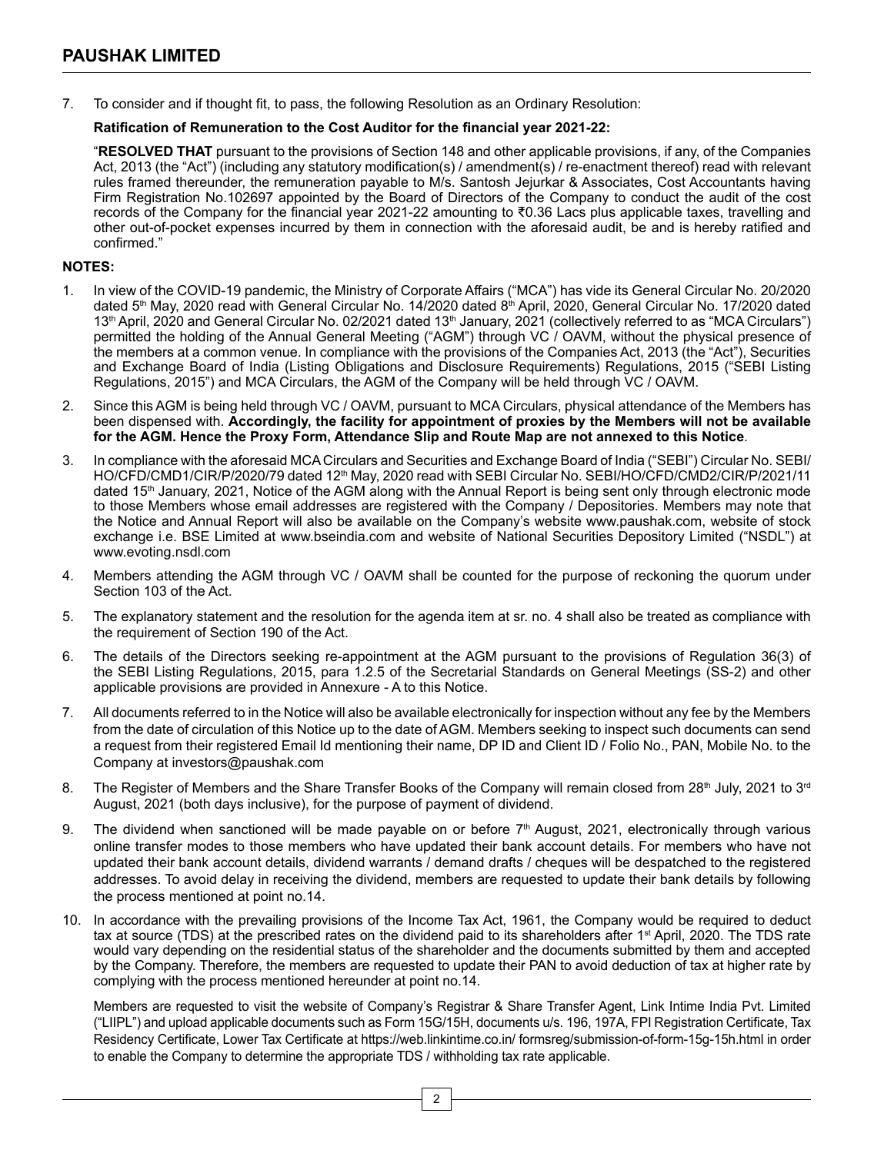7. To consider and if thought fit, to pass, the following Resolution as an Ordinary Resolution:

# **Ratification of Remuneration to the Cost Auditor for the financial year 2021-22:**

"**RESOLVED THAT** pursuant to the provisions of Section 148 and other applicable provisions, if any, of the Companies Act, 2013 (the "Act") (including any statutory modification(s) / amendment(s) / re-enactment thereof) read with relevant rules framed thereunder, the remuneration payable to M/s. Santosh Jejurkar & Associates, Cost Accountants having Firm Registration No.102697 appointed by the Board of Directors of the Company to conduct the audit of the cost records of the Company for the financial year 2021-22 amounting to ₹0.36 Lacs plus applicable taxes, travelling and other out-of-pocket expenses incurred by them in connection with the aforesaid audit, be and is hereby ratified and confirmed."

# **NOTES:**

- 1. In view of the COVID-19 pandemic, the Ministry of Corporate Affairs ("MCA") has vide its General Circular No. 20/2020 dated 5<sup>th</sup> May, 2020 read with General Circular No. 14/2020 dated 8<sup>th</sup> April, 2020, General Circular No. 17/2020 dated 13<sup>th</sup> April, 2020 and General Circular No. 02/2021 dated 13<sup>th</sup> January, 2021 (collectively referred to as "MCA Circulars") permitted the holding of the Annual General Meeting ("AGM") through VC / OAVM, without the physical presence of the members at a common venue. In compliance with the provisions of the Companies Act, 2013 (the "Act"), Securities and Exchange Board of India (Listing Obligations and Disclosure Requirements) Regulations, 2015 ("SEBI Listing Regulations, 2015") and MCA Circulars, the AGM of the Company will be held through VC / OAVM.
- 2. Since this AGM is being held through VC / OAVM, pursuant to MCA Circulars, physical attendance of the Members has been dispensed with. **Accordingly, the facility for appointment of proxies by the Members will not be available for the AGM. Hence the Proxy Form, Attendance Slip and Route Map are not annexed to this Notice**.
- 3. In compliance with the aforesaid MCA Circulars and Securities and Exchange Board of India ("SEBI") Circular No. SEBI/ HO/CFD/CMD1/CIR/P/2020/79 dated 12th May, 2020 read with SEBI Circular No. SEBI/HO/CFD/CMD2/CIR/P/2021/11 dated 15<sup>th</sup> January, 2021, Notice of the AGM along with the Annual Report is being sent only through electronic mode to those Members whose email addresses are registered with the Company / Depositories. Members may note that the Notice and Annual Report will also be available on the Company's website www.paushak.com, website of stock exchange i.e. BSE Limited at www.bseindia.com and website of National Securities Depository Limited ("NSDL") at www.evoting.nsdl.com
- 4. Members attending the AGM through VC / OAVM shall be counted for the purpose of reckoning the quorum under Section 103 of the Act.
- 5. The explanatory statement and the resolution for the agenda item at sr. no. 4 shall also be treated as compliance with the requirement of Section 190 of the Act.
- 6. The details of the Directors seeking re-appointment at the AGM pursuant to the provisions of Regulation 36(3) of the SEBI Listing Regulations, 2015, para 1.2.5 of the Secretarial Standards on General Meetings (SS-2) and other applicable provisions are provided in Annexure - A to this Notice.
- 7. All documents referred to in the Notice will also be available electronically for inspection without any fee by the Members from the date of circulation of this Notice up to the date of AGM. Members seeking to inspect such documents can send a request from their registered Email Id mentioning their name, DP ID and Client ID / Folio No., PAN, Mobile No. to the Company at investors@paushak.com
- 8. The Register of Members and the Share Transfer Books of the Company will remain closed from 28<sup>th</sup> July, 2021 to 3<sup>rd</sup> August, 2021 (both days inclusive), for the purpose of payment of dividend.
- 9. The dividend when sanctioned will be made payable on or before  $7<sup>th</sup>$  August, 2021, electronically through various online transfer modes to those members who have updated their bank account details. For members who have not updated their bank account details, dividend warrants / demand drafts / cheques will be despatched to the registered addresses. To avoid delay in receiving the dividend, members are requested to update their bank details by following the process mentioned at point no.14.
- 10. In accordance with the prevailing provisions of the Income Tax Act, 1961, the Company would be required to deduct tax at source (TDS) at the prescribed rates on the dividend paid to its shareholders after 1<sup>st</sup> April, 2020. The TDS rate would vary depending on the residential status of the shareholder and the documents submitted by them and accepted by the Company. Therefore, the members are requested to update their PAN to avoid deduction of tax at higher rate by complying with the process mentioned hereunder at point no.14.

Members are requested to visit the website of Company's Registrar & Share Transfer Agent, Link Intime India Pvt. Limited ("LIIPL") and upload applicable documents such as Form 15G/15H, documents u/s. 196, 197A, FPI Registration Certificate, Tax Residency Certificate, Lower Tax Certificate at https://web.linkintime.co.in/ formsreg/submission-of-form-15g-15h.html in order to enable the Company to determine the appropriate TDS / withholding tax rate applicable.

2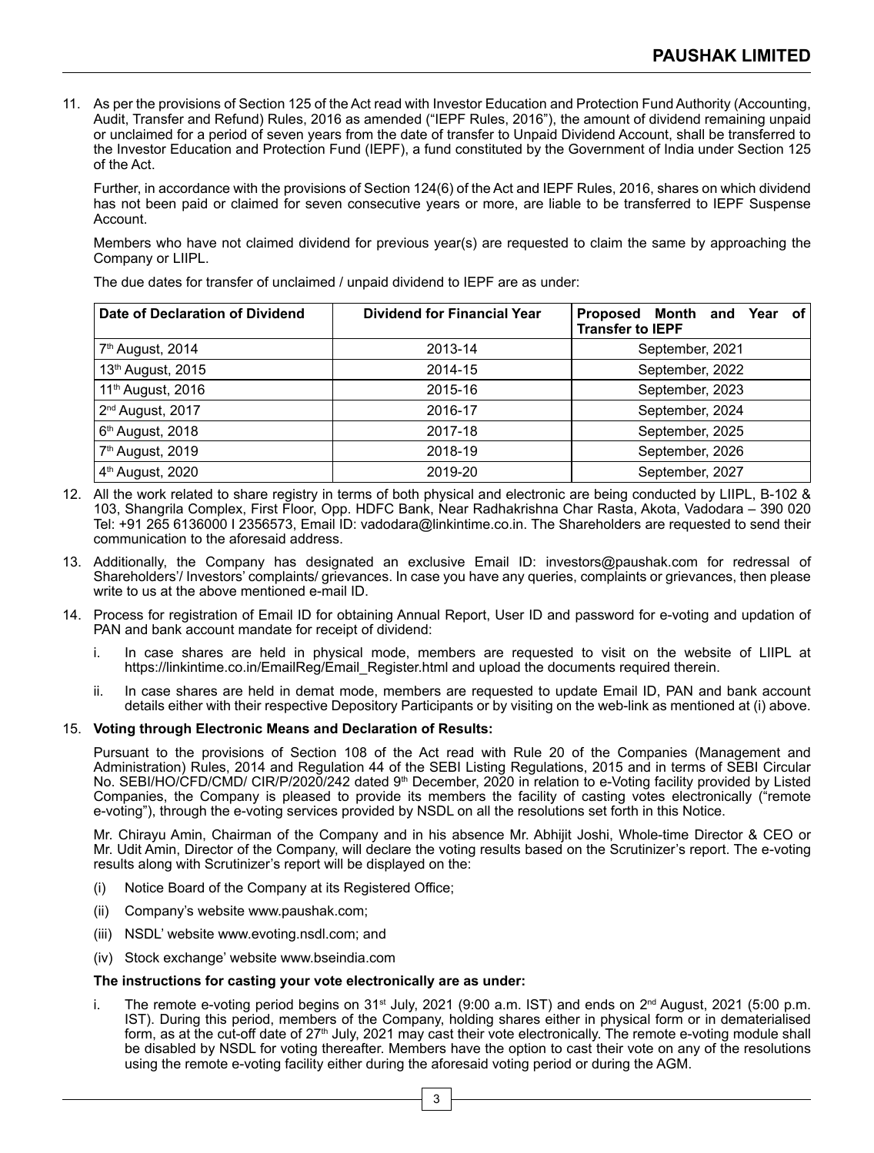11. As per the provisions of Section 125 of the Act read with Investor Education and Protection Fund Authority (Accounting, Audit, Transfer and Refund) Rules, 2016 as amended ("IEPF Rules, 2016"), the amount of dividend remaining unpaid or unclaimed for a period of seven years from the date of transfer to Unpaid Dividend Account, shall be transferred to the Investor Education and Protection Fund (IEPF), a fund constituted by the Government of India under Section 125 of the Act.

Further, in accordance with the provisions of Section 124(6) of the Act and IEPF Rules, 2016, shares on which dividend has not been paid or claimed for seven consecutive years or more, are liable to be transferred to IEPF Suspense Account.

Members who have not claimed dividend for previous year(s) are requested to claim the same by approaching the Company or LIIPL.

The due dates for transfer of unclaimed / unpaid dividend to IEPF are as under:

| Date of Declaration of Dividend | <b>Dividend for Financial Year</b> | Proposed Month and<br>Year of<br><b>Transfer to IEPF</b> |
|---------------------------------|------------------------------------|----------------------------------------------------------|
| 7 <sup>th</sup> August, 2014    | 2013-14                            | September, 2021                                          |
| 13 <sup>th</sup> August, 2015   | 2014-15                            | September, 2022                                          |
| 11 <sup>th</sup> August, 2016   | 2015-16                            | September, 2023                                          |
| 2 <sup>nd</sup> August, 2017    | 2016-17                            | September, 2024                                          |
| 6 <sup>th</sup> August, 2018    | 2017-18                            | September, 2025                                          |
| 7 <sup>th</sup> August, 2019    | 2018-19                            | September, 2026                                          |
| 4 <sup>th</sup> August, 2020    | 2019-20                            | September, 2027                                          |

- 12. All the work related to share registry in terms of both physical and electronic are being conducted by LIIPL, B-102 & 103, Shangrila Complex, First Floor, Opp. HDFC Bank, Near Radhakrishna Char Rasta, Akota, Vadodara – 390 020 Tel: +91 265 6136000 I 2356573, Email ID: vadodara@linkintime.co.in. The Shareholders are requested to send their communication to the aforesaid address.
- 13. Additionally, the Company has designated an exclusive Email ID: investors@paushak.com for redressal of Shareholders'/ Investors' complaints/ grievances. In case you have any queries, complaints or grievances, then please write to us at the above mentioned e-mail ID.
- 14. Process for registration of Email ID for obtaining Annual Report, User ID and password for e-voting and updation of PAN and bank account mandate for receipt of dividend:
	- i. In case shares are held in physical mode, members are requested to visit on the website of LIIPL at https://linkintime.co.in/EmailReg/Email\_Register.html and upload the documents required therein.
	- ii. In case shares are held in demat mode, members are requested to update Email ID, PAN and bank account details either with their respective Depository Participants or by visiting on the web-link as mentioned at (i) above.

#### 15. **Voting through Electronic Means and Declaration of Results:**

Pursuant to the provisions of Section 108 of the Act read with Rule 20 of the Companies (Management and Administration) Rules, 2014 and Regulation 44 of the SEBI Listing Regulations, 2015 and in terms of SEBI Circular No. SEBI/HO/CFD/CMD/ CIR/P/2020/242 dated 9<sup>th</sup> December, 2020 in relation to e-Voting facility provided by Listed Companies, the Company is pleased to provide its members the facility of casting votes electronically ("remote e-voting"), through the e-voting services provided by NSDL on all the resolutions set forth in this Notice.

 Mr. Chirayu Amin, Chairman of the Company and in his absence Mr. Abhijit Joshi, Whole-time Director & CEO or Mr. Udit Amin, Director of the Company, will declare the voting results based on the Scrutinizer's report. The e-voting results along with Scrutinizer's report will be displayed on the:

- (i) Notice Board of the Company at its Registered Office;
- (ii) Company's website www.paushak.com;
- (iii) NSDL' website www.evoting.nsdl.com; and
- (iv) Stock exchange' website www.bseindia.com

#### **The instructions for casting your vote electronically are as under:**

i. The remote e-voting period begins on  $31<sup>st</sup>$  July, 2021 (9:00 a.m. IST) and ends on  $2<sup>nd</sup>$  August, 2021 (5:00 p.m. IST). During this period, members of the Company, holding shares either in physical form or in dematerialised form, as at the cut-off date of 27<sup>th</sup> July, 2021 may cast their vote electronically. The remote e-voting module shall be disabled by NSDL for voting thereafter. Members have the option to cast their vote on any of the resolutions using the remote e-voting facility either during the aforesaid voting period or during the AGM.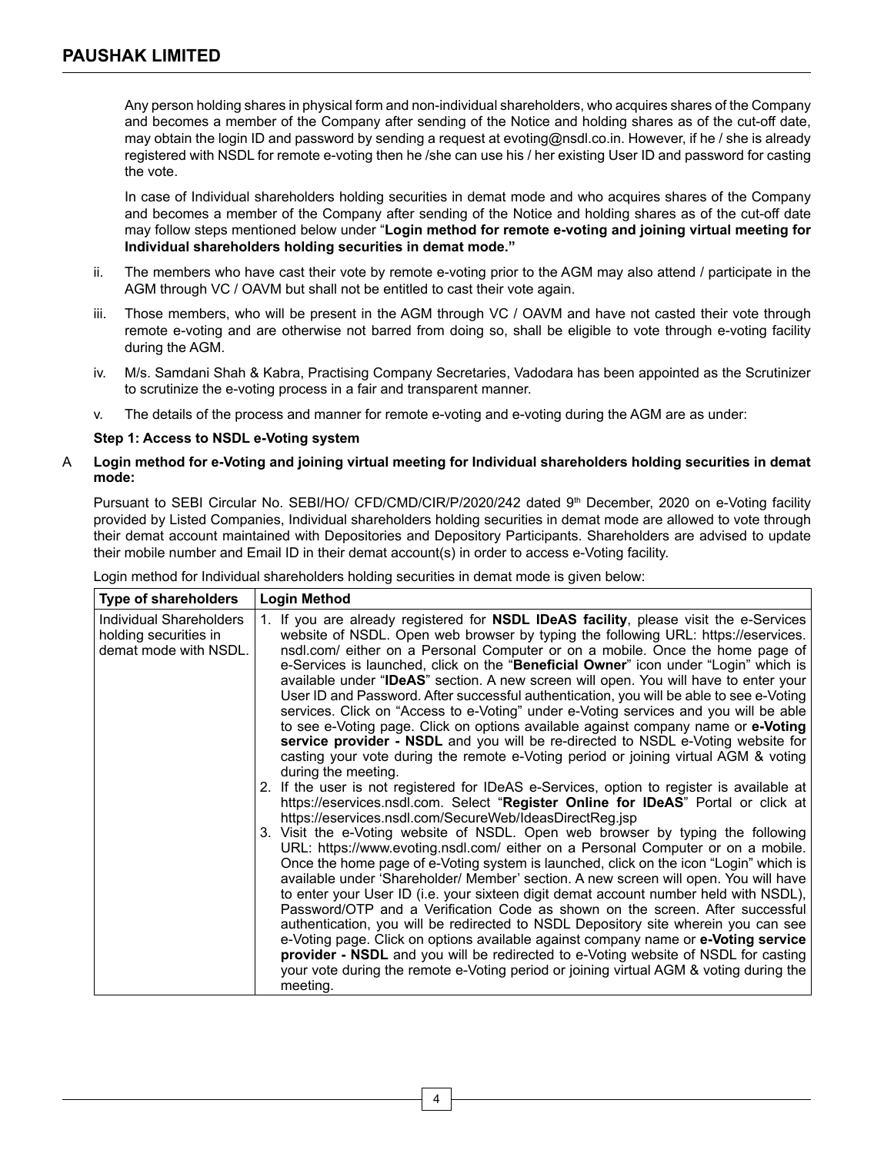Any person holding shares in physical form and non-individual shareholders, who acquires shares of the Company and becomes a member of the Company after sending of the Notice and holding shares as of the cut-off date, may obtain the login ID and password by sending a request at evoting@nsdl.co.in. However, if he / she is already registered with NSDL for remote e-voting then he /she can use his / her existing User ID and password for casting the vote.

In case of Individual shareholders holding securities in demat mode and who acquires shares of the Company and becomes a member of the Company after sending of the Notice and holding shares as of the cut-off date may follow steps mentioned below under "**Login method for remote e-voting and joining virtual meeting for Individual shareholders holding securities in demat mode."**

- $ii.$  The members who have cast their vote by remote e-voting prior to the AGM may also attend / participate in the AGM through VC / OAVM but shall not be entitled to cast their vote again.
- iii. Those members, who will be present in the AGM through VC / OAVM and have not casted their vote through remote e-voting and are otherwise not barred from doing so, shall be eligible to vote through e-voting facility during the AGM.
- iv. M/s. Samdani Shah & Kabra, Practising Company Secretaries, Vadodara has been appointed as the Scrutinizer to scrutinize the e-voting process in a fair and transparent manner.
- v. The details of the process and manner for remote e-voting and e-voting during the AGM are as under:

# **Step 1: Access to NSDL e-Voting system**

# A **Login method for e-Voting and joining virtual meeting for Individual shareholders holding securities in demat mode:**

Pursuant to SEBI Circular No. SEBI/HO/ CFD/CMD/CIR/P/2020/242 dated 9<sup>th</sup> December, 2020 on e-Voting facility provided by Listed Companies, Individual shareholders holding securities in demat mode are allowed to vote through their demat account maintained with Depositories and Depository Participants. Shareholders are advised to update their mobile number and Email ID in their demat account(s) in order to access e-Voting facility.

| Login method for Individual shareholders holding securities in demat mode is given below: |  |
|-------------------------------------------------------------------------------------------|--|
|                                                                                           |  |

| <b>Type of shareholders</b>                                               | <b>Login Method</b>                                                                                                                                                                                                                                                                                                                                                                                                                                                                                                                                                                                                                                                                                                                                                                                                                                                                                                                                                                                                                                                                                                                                                                                                                                                                                                                                                                                                                                                                                                                                                                                                                                                                                                                                                                                                                                                                                                                                                                                                                                                                            |  |
|---------------------------------------------------------------------------|------------------------------------------------------------------------------------------------------------------------------------------------------------------------------------------------------------------------------------------------------------------------------------------------------------------------------------------------------------------------------------------------------------------------------------------------------------------------------------------------------------------------------------------------------------------------------------------------------------------------------------------------------------------------------------------------------------------------------------------------------------------------------------------------------------------------------------------------------------------------------------------------------------------------------------------------------------------------------------------------------------------------------------------------------------------------------------------------------------------------------------------------------------------------------------------------------------------------------------------------------------------------------------------------------------------------------------------------------------------------------------------------------------------------------------------------------------------------------------------------------------------------------------------------------------------------------------------------------------------------------------------------------------------------------------------------------------------------------------------------------------------------------------------------------------------------------------------------------------------------------------------------------------------------------------------------------------------------------------------------------------------------------------------------------------------------------------------------|--|
| Individual Shareholders<br>holding securities in<br>demat mode with NSDL. | If you are already registered for NSDL IDeAS facility, please visit the e-Services<br>website of NSDL. Open web browser by typing the following URL: https://eservices.<br>nsdl.com/ either on a Personal Computer or on a mobile. Once the home page of<br>e-Services is launched, click on the " <b>Beneficial Owner</b> " icon under "Login" which is<br>available under "IDeAS" section. A new screen will open. You will have to enter your<br>User ID and Password. After successful authentication, you will be able to see e-Voting<br>services. Click on "Access to e-Voting" under e-Voting services and you will be able<br>to see e-Voting page. Click on options available against company name or e-Voting<br><b>service provider - NSDL</b> and you will be re-directed to NSDL e-Voting website for<br>casting your vote during the remote e-Voting period or joining virtual AGM & voting<br>during the meeting.<br>2. If the user is not registered for IDeAS e-Services, option to register is available at<br>https://eservices.nsdl.com. Select "Register Online for IDeAS" Portal or click at<br>https://eservices.nsdl.com/SecureWeb/IdeasDirectReq.jsp<br>3. Visit the e-Voting website of NSDL. Open web browser by typing the following<br>URL: https://www.evoting.nsdl.com/ either on a Personal Computer or on a mobile.<br>Once the home page of e-Voting system is launched, click on the icon "Login" which is<br>available under 'Shareholder/ Member' section. A new screen will open. You will have<br>to enter your User ID (i.e. your sixteen digit demat account number held with NSDL),<br>Password/OTP and a Verification Code as shown on the screen. After successful<br>authentication, you will be redirected to NSDL Depository site wherein you can see<br>e-Voting page. Click on options available against company name or e-Voting service<br><b>provider - NSDL</b> and you will be redirected to e-Voting website of NSDL for casting<br>your vote during the remote e-Voting period or joining virtual AGM & voting during the<br>meeting. |  |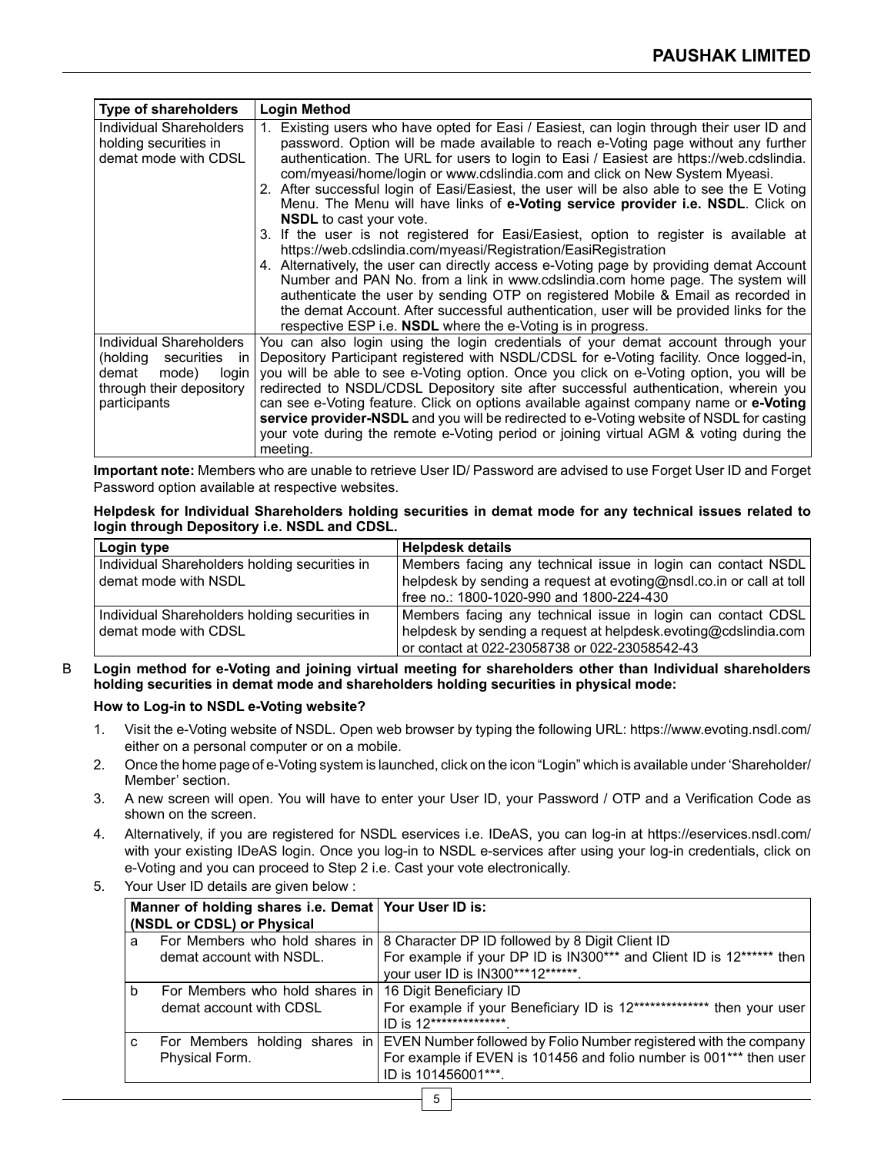| <b>Type of shareholders</b>                                                                                                    | <b>Login Method</b>                                                                                                                                                                                                                                                                                                                                                                                                                                                                                                                                                                                                                                        |
|--------------------------------------------------------------------------------------------------------------------------------|------------------------------------------------------------------------------------------------------------------------------------------------------------------------------------------------------------------------------------------------------------------------------------------------------------------------------------------------------------------------------------------------------------------------------------------------------------------------------------------------------------------------------------------------------------------------------------------------------------------------------------------------------------|
| Individual Shareholders<br>holding securities in<br>demat mode with CDSL                                                       | Existing users who have opted for Easi / Easiest, can login through their user ID and<br>password. Option will be made available to reach e-Voting page without any further<br>authentication. The URL for users to login to Easi / Easiest are https://web.cdslindia.<br>com/myeasi/home/login or www.cdslindia.com and click on New System Myeasi.                                                                                                                                                                                                                                                                                                       |
|                                                                                                                                | 2. After successful login of Easi/Easiest, the user will be also able to see the E Voting<br>Menu. The Menu will have links of e-Voting service provider i.e. NSDL. Click on<br><b>NSDL</b> to cast your vote.                                                                                                                                                                                                                                                                                                                                                                                                                                             |
|                                                                                                                                | 3. If the user is not registered for Easi/Easiest, option to register is available at<br>https://web.cdslindia.com/myeasi/Registration/EasiRegistration                                                                                                                                                                                                                                                                                                                                                                                                                                                                                                    |
|                                                                                                                                | 4. Alternatively, the user can directly access e-Voting page by providing demat Account<br>Number and PAN No. from a link in www.cdslindia.com home page. The system will<br>authenticate the user by sending OTP on registered Mobile & Email as recorded in<br>the demat Account. After successful authentication, user will be provided links for the<br>respective ESP i.e. <b>NSDL</b> where the e-Voting is in progress.                                                                                                                                                                                                                             |
| Individual Shareholders<br>(holding<br>securities<br>ın<br>demat<br>mode)<br>login<br>through their depository<br>participants | You can also login using the login credentials of your demat account through your<br>Depository Participant registered with NSDL/CDSL for e-Voting facility. Once logged-in,<br>you will be able to see e-Voting option. Once you click on e-Voting option, you will be<br>redirected to NSDL/CDSL Depository site after successful authentication, wherein you<br>can see e-Voting feature. Click on options available against company name or e-Voting<br>service provider-NSDL and you will be redirected to e-Voting website of NSDL for casting<br>your vote during the remote e-Voting period or joining virtual AGM & voting during the<br>meeting. |

**Important note:** Members who are unable to retrieve User ID/ Password are advised to use Forget User ID and Forget Password option available at respective websites.

#### **Helpdesk for Individual Shareholders holding securities in demat mode for any technical issues related to login through Depository i.e. NSDL and CDSL.**

| Login type                                    | <b>Helpdesk details</b>                                             |
|-----------------------------------------------|---------------------------------------------------------------------|
| Individual Shareholders holding securities in | Members facing any technical issue in login can contact NSDL        |
| demat mode with NSDL                          | helpdesk by sending a request at evoting@nsdl.co.in or call at toll |
|                                               | free no.: 1800-1020-990 and 1800-224-430                            |
| Individual Shareholders holding securities in | Members facing any technical issue in login can contact CDSL        |
| demat mode with CDSL                          | helpdesk by sending a request at helpdesk evoting@cdslindia.com     |
|                                               | or contact at 022-23058738 or 022-23058542-43                       |

B **Login method for e-Voting and joining virtual meeting for shareholders other than Individual shareholders holding securities in demat mode and shareholders holding securities in physical mode:**

# **How to Log-in to NSDL e-Voting website?**

- 1. Visit the e-Voting website of NSDL. Open web browser by typing the following URL: https://www.evoting.nsdl.com/ either on a personal computer or on a mobile.
- 2. Once the home page of e-Voting system is launched, click on the icon "Login" which is available under 'Shareholder/ Member' section.
- 3. A new screen will open. You will have to enter your User ID, your Password / OTP and a Verification Code as shown on the screen.
- 4. Alternatively, if you are registered for NSDL eservices i.e. IDeAS, you can log-in at https://eservices.nsdl.com/ with your existing IDeAS login. Once you log-in to NSDL e-services after using your log-in credentials, click on e-Voting and you can proceed to Step 2 i.e. Cast your vote electronically.
- 5. Your User ID details are given below :

|   | Manner of holding shares i.e. Demat Your User ID is:<br>(NSDL or CDSL) or Physical |                                                                                                           |
|---|------------------------------------------------------------------------------------|-----------------------------------------------------------------------------------------------------------|
| a |                                                                                    | For Members who hold shares in 8 Character DP ID followed by 8 Digit Client ID                            |
|   | demat account with NSDL.                                                           | For example if your DP ID is IN300*** and Client ID is 12****** then<br>your user ID is IN300***12******. |
| b | For Members who hold shares in                                                     | 16 Digit Beneficiary ID                                                                                   |
|   | demat account with CDSL                                                            | For example if your Beneficiary ID is 12************** then your user<br>ID is 12**************           |
| C |                                                                                    | For Members holding shares in   EVEN Number followed by Folio Number registered with the company          |
|   | Physical Form.                                                                     | For example if EVEN is 101456 and folio number is 001*** then user                                        |
|   |                                                                                    | ID is 101456001***.                                                                                       |
| 5 |                                                                                    |                                                                                                           |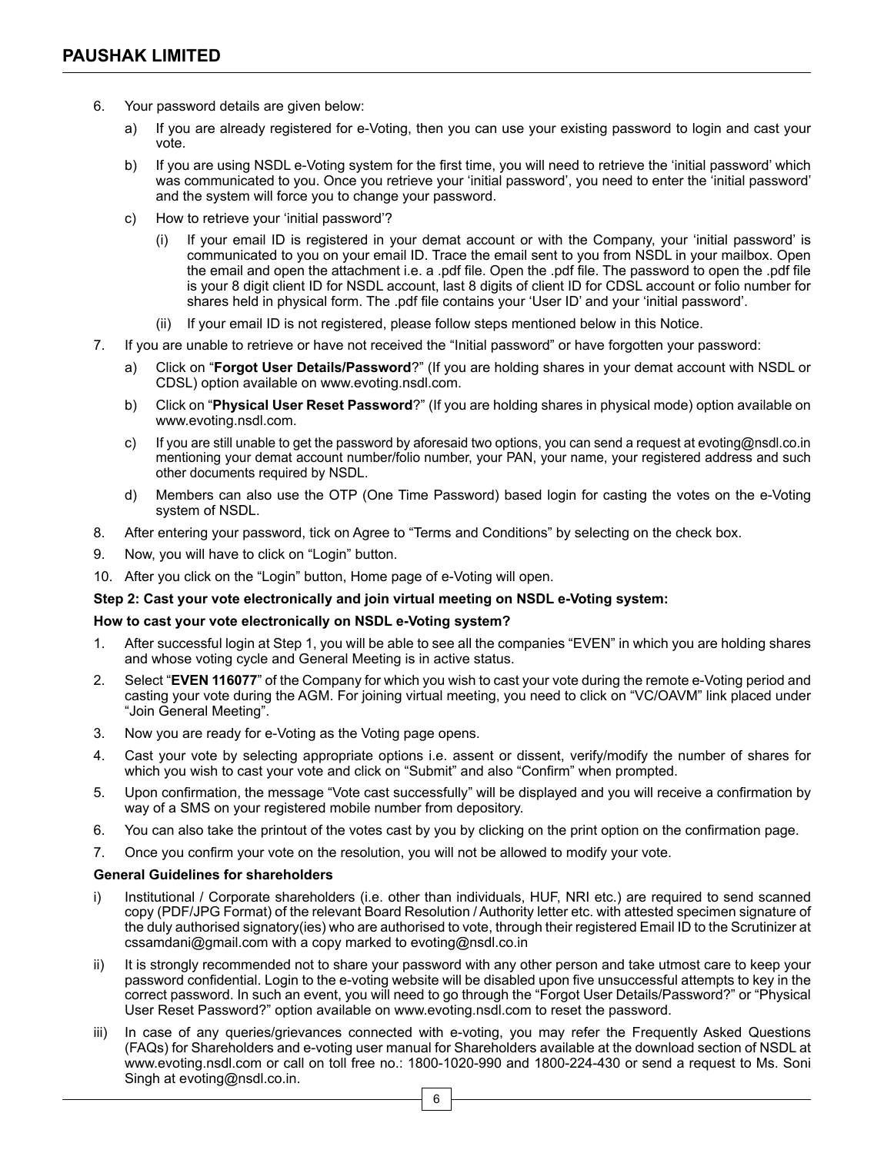- 6. Your password details are given below:
	- a) If you are already registered for e-Voting, then you can use your existing password to login and cast your vote.
	- b) If you are using NSDL e-Voting system for the first time, you will need to retrieve the 'initial password' which was communicated to you. Once you retrieve your 'initial password', you need to enter the 'initial password' and the system will force you to change your password.
	- c) How to retrieve your 'initial password'?
		- (i) If your email ID is registered in your demat account or with the Company, your 'initial password' is communicated to you on your email ID. Trace the email sent to you from NSDL in your mailbox. Open the email and open the attachment i.e. a .pdf file. Open the .pdf file. The password to open the .pdf file is your 8 digit client ID for NSDL account, last 8 digits of client ID for CDSL account or folio number for shares held in physical form. The .pdf file contains your 'User ID' and your 'initial password'.
		- (ii) If your email ID is not registered, please follow steps mentioned below in this Notice.
- 7. If you are unable to retrieve or have not received the "Initial password" or have forgotten your password:
	- a) Click on "**Forgot User Details/Password**?" (If you are holding shares in your demat account with NSDL or CDSL) option available on www.evoting.nsdl.com.
	- b) Click on "**Physical User Reset Password**?" (If you are holding shares in physical mode) option available on www.evoting.nsdl.com.
	- c) If you are still unable to get the password by aforesaid two options, you can send a request at evoting@nsdl.co.in mentioning your demat account number/folio number, your PAN, your name, your registered address and such other documents required by NSDL.
	- d) Members can also use the OTP (One Time Password) based login for casting the votes on the e-Voting system of NSDL.
- 8. After entering your password, tick on Agree to "Terms and Conditions" by selecting on the check box.
- 9. Now, you will have to click on "Login" button.
- 10. After you click on the "Login" button, Home page of e-Voting will open.

## **Step 2: Cast your vote electronically and join virtual meeting on NSDL e-Voting system:**

## **How to cast your vote electronically on NSDL e-Voting system?**

- 1. After successful login at Step 1, you will be able to see all the companies "EVEN" in which you are holding shares and whose voting cycle and General Meeting is in active status.
- 2. Select "**EVEN 116077**" of the Company for which you wish to cast your vote during the remote e-Voting period and casting your vote during the AGM. For joining virtual meeting, you need to click on "VC/OAVM" link placed under "Join General Meeting".
- 3. Now you are ready for e-Voting as the Voting page opens.
- 4. Cast your vote by selecting appropriate options i.e. assent or dissent, verify/modify the number of shares for which you wish to cast your vote and click on "Submit" and also "Confirm" when prompted.
- 5. Upon confirmation, the message "Vote cast successfully" will be displayed and you will receive a confirmation by way of a SMS on your registered mobile number from depository.
- 6. You can also take the printout of the votes cast by you by clicking on the print option on the confirmation page.
- 7. Once you confirm your vote on the resolution, you will not be allowed to modify your vote.

## **General Guidelines for shareholders**

- i) Institutional / Corporate shareholders (i.e. other than individuals, HUF, NRI etc.) are required to send scanned copy (PDF/JPG Format) of the relevant Board Resolution / Authority letter etc. with attested specimen signature of the duly authorised signatory(ies) who are authorised to vote, through their registered Email ID to the Scrutinizer at cssamdani@gmail.com with a copy marked to evoting@nsdl.co.in
- ii) It is strongly recommended not to share your password with any other person and take utmost care to keep your password confidential. Login to the e-voting website will be disabled upon five unsuccessful attempts to key in the correct password. In such an event, you will need to go through the "Forgot User Details/Password?" or "Physical User Reset Password?" option available on www.evoting.nsdl.com to reset the password.
- iii) In case of any queries/grievances connected with e-voting, you may refer the Frequently Asked Questions (FAQs) for Shareholders and e-voting user manual for Shareholders available at the download section of NSDL at www.evoting.nsdl.com or call on toll free no.: 1800-1020-990 and 1800-224-430 or send a request to Ms. Soni Singh at evoting@nsdl.co.in.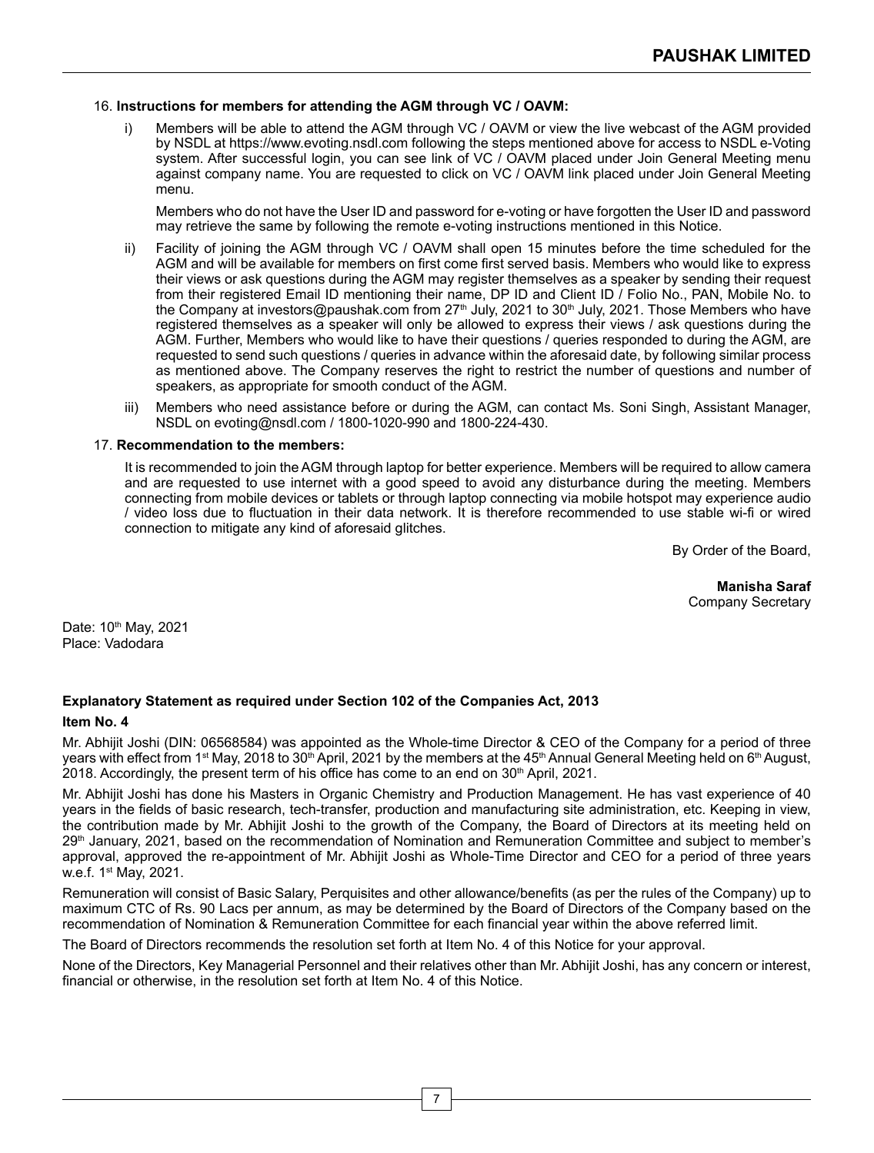## 16. **Instructions for members for attending the AGM through VC / OAVM:**

Members will be able to attend the AGM through VC / OAVM or view the live webcast of the AGM provided by NSDL at https://www.evoting.nsdl.com following the steps mentioned above for access to NSDL e-Voting system. After successful login, you can see link of VC / OAVM placed under Join General Meeting menu against company name. You are requested to click on VC / OAVM link placed under Join General Meeting menu.

 Members who do not have the User ID and password for e-voting or have forgotten the User ID and password may retrieve the same by following the remote e-voting instructions mentioned in this Notice.

- ii) Facility of joining the AGM through VC / OAVM shall open 15 minutes before the time scheduled for the AGM and will be available for members on first come first served basis. Members who would like to express their views or ask questions during the AGM may register themselves as a speaker by sending their request from their registered Email ID mentioning their name, DP ID and Client ID / Folio No., PAN, Mobile No. to the Company at investors@paushak.com from 27<sup>th</sup> July, 2021 to 30<sup>th</sup> July, 2021. Those Members who have registered themselves as a speaker will only be allowed to express their views / ask questions during the AGM. Further, Members who would like to have their questions / queries responded to during the AGM, are requested to send such questions / queries in advance within the aforesaid date, by following similar process as mentioned above. The Company reserves the right to restrict the number of questions and number of speakers, as appropriate for smooth conduct of the AGM.
- iii) Members who need assistance before or during the AGM, can contact Ms. Soni Singh, Assistant Manager, NSDL on evoting@nsdl.com / 1800-1020-990 and 1800-224-430.

#### 17. **Recommendation to the members:**

 It is recommended to join the AGM through laptop for better experience. Members will be required to allow camera and are requested to use internet with a good speed to avoid any disturbance during the meeting. Members connecting from mobile devices or tablets or through laptop connecting via mobile hotspot may experience audio / video loss due to fluctuation in their data network. It is therefore recommended to use stable wi-fi or wired connection to mitigate any kind of aforesaid glitches.

By Order of the Board,

**Manisha Saraf** Company Secretary

Date: 10th May, 2021 Place: Vadodara

# **Explanatory Statement as required under Section 102 of the Companies Act, 2013**

## **Item No. 4**

Mr. Abhijit Joshi (DIN: 06568584) was appointed as the Whole-time Director & CEO of the Company for a period of three years with effect from 1<sup>st</sup> May, 2018 to 30<sup>th</sup> April, 2021 by the members at the 45<sup>th</sup> Annual General Meeting held on 6<sup>th</sup> August. 2018. Accordingly, the present term of his office has come to an end on  $30<sup>th</sup>$  April, 2021.

Mr. Abhijit Joshi has done his Masters in Organic Chemistry and Production Management. He has vast experience of 40 years in the fields of basic research, tech-transfer, production and manufacturing site administration, etc. Keeping in view, the contribution made by Mr. Abhijit Joshi to the growth of the Company, the Board of Directors at its meeting held on 29<sup>th</sup> January, 2021, based on the recommendation of Nomination and Remuneration Committee and subject to member's approval, approved the re-appointment of Mr. Abhijit Joshi as Whole-Time Director and CEO for a period of three years w.e.f. 1st May, 2021.

Remuneration will consist of Basic Salary, Perquisites and other allowance/benefits (as per the rules of the Company) up to maximum CTC of Rs. 90 Lacs per annum, as may be determined by the Board of Directors of the Company based on the recommendation of Nomination & Remuneration Committee for each financial year within the above referred limit.

The Board of Directors recommends the resolution set forth at Item No. 4 of this Notice for your approval.

None of the Directors, Key Managerial Personnel and their relatives other than Mr. Abhijit Joshi, has any concern or interest, financial or otherwise, in the resolution set forth at Item No. 4 of this Notice.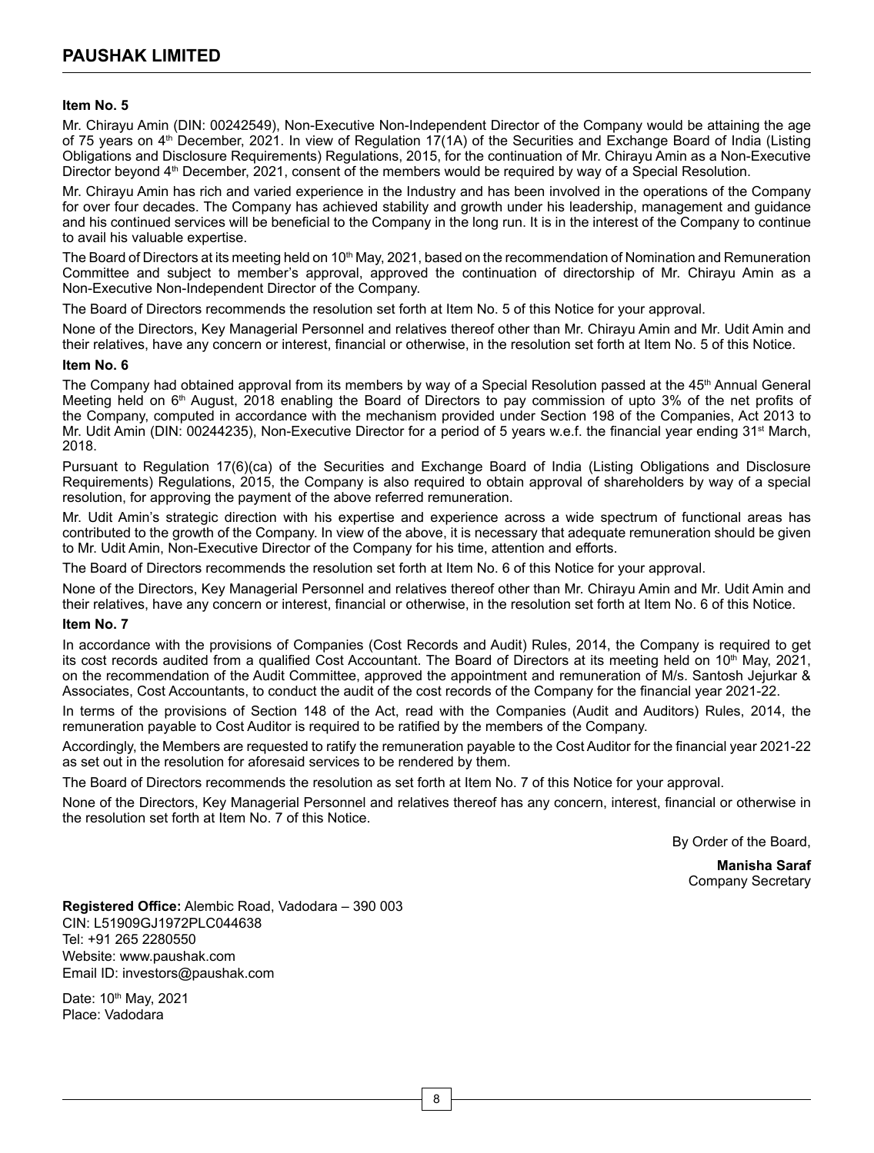## **Item No. 5**

Mr. Chirayu Amin (DIN: 00242549), Non-Executive Non-Independent Director of the Company would be attaining the age of 75 years on 4<sup>th</sup> December, 2021. In view of Regulation 17(1A) of the Securities and Exchange Board of India (Listing Obligations and Disclosure Requirements) Regulations, 2015, for the continuation of Mr. Chirayu Amin as a Non-Executive Director beyond 4<sup>th</sup> December, 2021, consent of the members would be required by way of a Special Resolution.

Mr. Chirayu Amin has rich and varied experience in the Industry and has been involved in the operations of the Company for over four decades. The Company has achieved stability and growth under his leadership, management and guidance and his continued services will be beneficial to the Company in the long run. It is in the interest of the Company to continue to avail his valuable expertise.

The Board of Directors at its meeting held on 10<sup>th</sup> May, 2021, based on the recommendation of Nomination and Remuneration Committee and subject to member's approval, approved the continuation of directorship of Mr. Chirayu Amin as a Non-Executive Non-Independent Director of the Company.

The Board of Directors recommends the resolution set forth at Item No. 5 of this Notice for your approval.

None of the Directors, Key Managerial Personnel and relatives thereof other than Mr. Chirayu Amin and Mr. Udit Amin and their relatives, have any concern or interest, financial or otherwise, in the resolution set forth at Item No. 5 of this Notice.

#### **Item No. 6**

The Company had obtained approval from its members by way of a Special Resolution passed at the 45<sup>th</sup> Annual General Meeting held on 6<sup>th</sup> August, 2018 enabling the Board of Directors to pay commission of upto 3% of the net profits of the Company, computed in accordance with the mechanism provided under Section 198 of the Companies, Act 2013 to Mr. Udit Amin (DIN: 00244235), Non-Executive Director for a period of 5 years w.e.f. the financial year ending 31<sup>st</sup> March, 2018.

Pursuant to Regulation 17(6)(ca) of the Securities and Exchange Board of India (Listing Obligations and Disclosure Requirements) Regulations, 2015, the Company is also required to obtain approval of shareholders by way of a special resolution, for approving the payment of the above referred remuneration.

Mr. Udit Amin's strategic direction with his expertise and experience across a wide spectrum of functional areas has contributed to the growth of the Company. In view of the above, it is necessary that adequate remuneration should be given to Mr. Udit Amin, Non-Executive Director of the Company for his time, attention and efforts.

The Board of Directors recommends the resolution set forth at Item No. 6 of this Notice for your approval.

None of the Directors, Key Managerial Personnel and relatives thereof other than Mr. Chirayu Amin and Mr. Udit Amin and their relatives, have any concern or interest, financial or otherwise, in the resolution set forth at Item No. 6 of this Notice.

## **Item No. 7**

In accordance with the provisions of Companies (Cost Records and Audit) Rules, 2014, the Company is required to get its cost records audited from a qualified Cost Accountant. The Board of Directors at its meeting held on 10<sup>th</sup> May, 2021, on the recommendation of the Audit Committee, approved the appointment and remuneration of M/s. Santosh Jejurkar & Associates, Cost Accountants, to conduct the audit of the cost records of the Company for the financial year 2021-22.

In terms of the provisions of Section 148 of the Act, read with the Companies (Audit and Auditors) Rules, 2014, the remuneration payable to Cost Auditor is required to be ratified by the members of the Company.

Accordingly, the Members are requested to ratify the remuneration payable to the Cost Auditor for the financial year 2021-22 as set out in the resolution for aforesaid services to be rendered by them.

The Board of Directors recommends the resolution as set forth at Item No. 7 of this Notice for your approval.

None of the Directors, Key Managerial Personnel and relatives thereof has any concern, interest, financial or otherwise in the resolution set forth at Item No. 7 of this Notice.

By Order of the Board,

**Manisha Saraf** Company Secretary

**Registered Office:** Alembic Road, Vadodara – 390 003 CIN: L51909GJ1972PLC044638 Tel: +91 265 2280550 Website: www.paushak.com Email ID: investors@paushak.com

Date: 10th May, 2021 Place: Vadodara